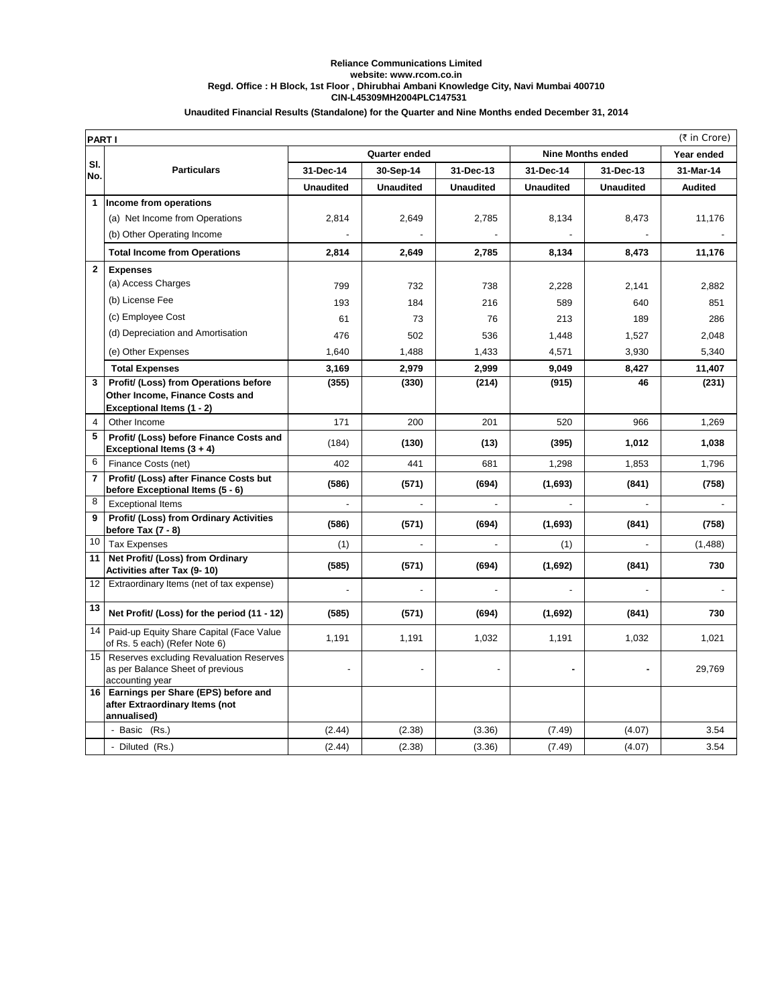## **CIN-L45309MH2004PLC147531 Reliance Communications Limited website: www.rcom.co.in Regd. Office : H Block, 1st Floor , Dhirubhai Ambani Knowledge City, Navi Mumbai 400710**

| Unaudited Financial Results (Standalone) for the Quarter and Nine Months ended December 31, 2014 |  |
|--------------------------------------------------------------------------------------------------|--|
|--------------------------------------------------------------------------------------------------|--|

| (₹ in Crore)<br><b>PARTI</b> |                                                                                                |                      |                  |                  |                          |                  |                |  |
|------------------------------|------------------------------------------------------------------------------------------------|----------------------|------------------|------------------|--------------------------|------------------|----------------|--|
|                              |                                                                                                | <b>Quarter ended</b> |                  |                  | <b>Nine Months ended</b> | Year ended       |                |  |
| SI.<br>No.                   | <b>Particulars</b>                                                                             | 31-Dec-14            | 30-Sep-14        | 31-Dec-13        | 31-Dec-14                | 31-Dec-13        | 31-Mar-14      |  |
|                              |                                                                                                | <b>Unaudited</b>     | <b>Unaudited</b> | <b>Unaudited</b> | <b>Unaudited</b>         | <b>Unaudited</b> | <b>Audited</b> |  |
| 1                            | Income from operations                                                                         |                      |                  |                  |                          |                  |                |  |
|                              | (a) Net Income from Operations                                                                 | 2,814                | 2,649            | 2,785            | 8,134                    | 8,473            | 11,176         |  |
|                              | (b) Other Operating Income                                                                     |                      |                  |                  |                          |                  |                |  |
|                              | <b>Total Income from Operations</b>                                                            | 2,814                | 2,649            | 2,785            | 8,134                    | 8,473            | 11,176         |  |
| $\overline{2}$               | <b>Expenses</b>                                                                                |                      |                  |                  |                          |                  |                |  |
|                              | (a) Access Charges                                                                             | 799                  | 732              | 738              | 2,228                    | 2,141            | 2,882          |  |
|                              | (b) License Fee                                                                                | 193                  | 184              | 216              | 589                      | 640              | 851            |  |
|                              | (c) Employee Cost                                                                              | 61                   | 73               | 76               | 213                      | 189              | 286            |  |
|                              | (d) Depreciation and Amortisation                                                              | 476                  | 502              | 536              | 1,448                    | 1,527            | 2.048          |  |
|                              | (e) Other Expenses                                                                             | 1,640                | 1,488            | 1,433            | 4,571                    | 3,930            | 5,340          |  |
|                              | <b>Total Expenses</b>                                                                          | 3,169                | 2,979            | 2,999            | 9,049                    | 8,427            | 11,407         |  |
| 3                            | Profit/ (Loss) from Operations before                                                          | (355)                | (330)            | (214)            | (915)                    | 46               | (231)          |  |
|                              | Other Income, Finance Costs and                                                                |                      |                  |                  |                          |                  |                |  |
| $\overline{4}$               | Exceptional Items (1 - 2)<br>Other Income                                                      | 171                  | 200              | 201              | 520                      | 966              | 1,269          |  |
| 5                            | Profit/ (Loss) before Finance Costs and                                                        |                      |                  |                  |                          |                  |                |  |
|                              | Exceptional Items (3 + 4)                                                                      | (184)                | (130)            | (13)             | (395)                    | 1,012            | 1,038          |  |
| 6                            | Finance Costs (net)                                                                            | 402                  | 441              | 681              | 1,298                    | 1,853            | 1,796          |  |
| $\overline{7}$               | Profit/ (Loss) after Finance Costs but<br>before Exceptional Items (5 - 6)                     | (586)                | (571)            | (694)            | (1,693)                  | (841)            | (758)          |  |
| 8                            | <b>Exceptional Items</b>                                                                       |                      |                  |                  |                          |                  |                |  |
| 9                            | Profit/ (Loss) from Ordinary Activities<br>before Tax (7 - 8)                                  | (586)                | (571)            | (694)            | (1,693)                  | (841)            | (758)          |  |
| 10                           | <b>Tax Expenses</b>                                                                            | (1)                  |                  |                  | (1)                      |                  | (1,488)        |  |
| 11                           | Net Profit/ (Loss) from Ordinary<br>Activities after Tax (9-10)                                | (585)                | (571)            | (694)            | (1,692)                  | (841)            | 730            |  |
| 12                           | Extraordinary Items (net of tax expense)                                                       |                      |                  |                  |                          |                  |                |  |
| 13                           | Net Profit/ (Loss) for the period (11 - 12)                                                    | (585)                | (571)            | (694)            | (1,692)                  | (841)            | 730            |  |
| 14                           | Paid-up Equity Share Capital (Face Value<br>of Rs. 5 each) (Refer Note 6)                      | 1,191                | 1,191            | 1,032            | 1,191                    | 1,032            | 1,021          |  |
| 15                           | Reserves excluding Revaluation Reserves<br>as per Balance Sheet of previous<br>accounting year |                      |                  |                  |                          |                  | 29,769         |  |
| 16 <sup>1</sup>              | Earnings per Share (EPS) before and<br>after Extraordinary Items (not<br>annualised)           |                      |                  |                  |                          |                  |                |  |
|                              | - Basic (Rs.)                                                                                  | (2.44)               | (2.38)           | (3.36)           | (7.49)                   | (4.07)           | 3.54           |  |
|                              | - Diluted (Rs.)                                                                                | (2.44)               | (2.38)           | (3.36)           | (7.49)                   | (4.07)           | 3.54           |  |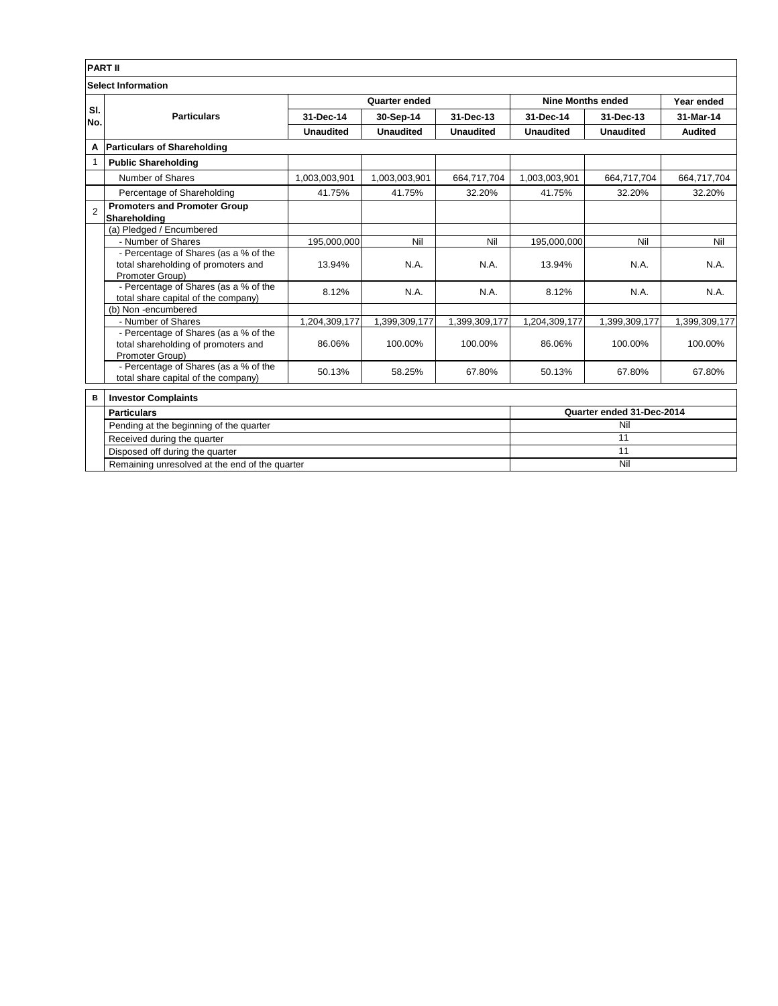|                           | <b>PART II</b>                                                                    |                  |                  |                  |                          |                           |                |  |  |
|---------------------------|-----------------------------------------------------------------------------------|------------------|------------------|------------------|--------------------------|---------------------------|----------------|--|--|
| <b>Select Information</b> |                                                                                   |                  |                  |                  |                          |                           |                |  |  |
|                           | <b>Particulars</b>                                                                | Quarter ended    |                  |                  | <b>Nine Months ended</b> |                           | Year ended     |  |  |
| SI.<br>No.                |                                                                                   | 31-Dec-14        | 30-Sep-14        | 31-Dec-13        | 31-Dec-14                | 31-Dec-13                 | 31-Mar-14      |  |  |
|                           |                                                                                   | <b>Unaudited</b> | <b>Unaudited</b> | <b>Unaudited</b> | <b>Unaudited</b>         | <b>Unaudited</b>          | <b>Audited</b> |  |  |
| А                         | <b>Particulars of Shareholding</b>                                                |                  |                  |                  |                          |                           |                |  |  |
| 1                         | <b>Public Shareholding</b>                                                        |                  |                  |                  |                          |                           |                |  |  |
|                           | Number of Shares                                                                  | 1,003,003,901    | 1,003,003,901    | 664,717,704      | 1,003,003,901            | 664,717,704               | 664,717,704    |  |  |
|                           | Percentage of Shareholding                                                        | 41.75%           | 41.75%           | 32.20%           | 41.75%                   | 32.20%                    | 32.20%         |  |  |
| $\overline{2}$            | <b>Promoters and Promoter Group</b>                                               |                  |                  |                  |                          |                           |                |  |  |
|                           | Shareholding                                                                      |                  |                  |                  |                          |                           |                |  |  |
|                           | (a) Pledged / Encumbered                                                          |                  |                  |                  |                          |                           |                |  |  |
|                           | - Number of Shares                                                                | 195,000,000      | Nil              | Nil              | 195,000,000              | Nil                       | Nil            |  |  |
|                           | - Percentage of Shares (as a % of the                                             |                  |                  |                  |                          |                           |                |  |  |
|                           | total shareholding of promoters and                                               | 13.94%           | N.A.             | N.A.             | 13.94%                   | N.A.                      | N.A.           |  |  |
|                           | Promoter Group)                                                                   |                  |                  |                  |                          |                           |                |  |  |
|                           | - Percentage of Shares (as a % of the                                             | 8.12%            | N.A.             | N.A.             | 8.12%                    | N.A.                      | N.A.           |  |  |
|                           | total share capital of the company)                                               |                  |                  |                  |                          |                           |                |  |  |
|                           | (b) Non-encumbered                                                                |                  |                  |                  |                          |                           |                |  |  |
|                           | - Number of Shares                                                                | 1,204,309,177    | 1,399,309,177    | 1,399,309,177    | 1,204,309,177            | 1,399,309,177             | 1,399,309,177  |  |  |
|                           | - Percentage of Shares (as a % of the                                             |                  |                  |                  |                          |                           |                |  |  |
|                           | total shareholding of promoters and                                               | 86.06%           | 100.00%          | 100.00%          | 86.06%                   | 100.00%                   | 100.00%        |  |  |
|                           | Promoter Group)                                                                   |                  |                  |                  |                          |                           |                |  |  |
|                           | - Percentage of Shares (as a % of the                                             | 50.13%           | 58.25%           | 67.80%           | 50.13%                   | 67.80%                    | 67.80%         |  |  |
|                           | total share capital of the company)                                               |                  |                  |                  |                          |                           |                |  |  |
| в                         | <b>Investor Complaints</b>                                                        |                  |                  |                  |                          |                           |                |  |  |
|                           | <b>Particulars</b>                                                                |                  |                  |                  |                          | Quarter ended 31-Dec-2014 |                |  |  |
|                           | Pending at the beginning of the quarter                                           |                  |                  |                  |                          | Nil                       |                |  |  |
|                           | Received during the quarter                                                       |                  |                  |                  |                          | 11                        |                |  |  |
|                           | Disposed off during the quarter<br>Remaining unresolved at the end of the quarter |                  |                  |                  |                          | 11                        |                |  |  |
|                           |                                                                                   |                  |                  |                  |                          | Nil                       |                |  |  |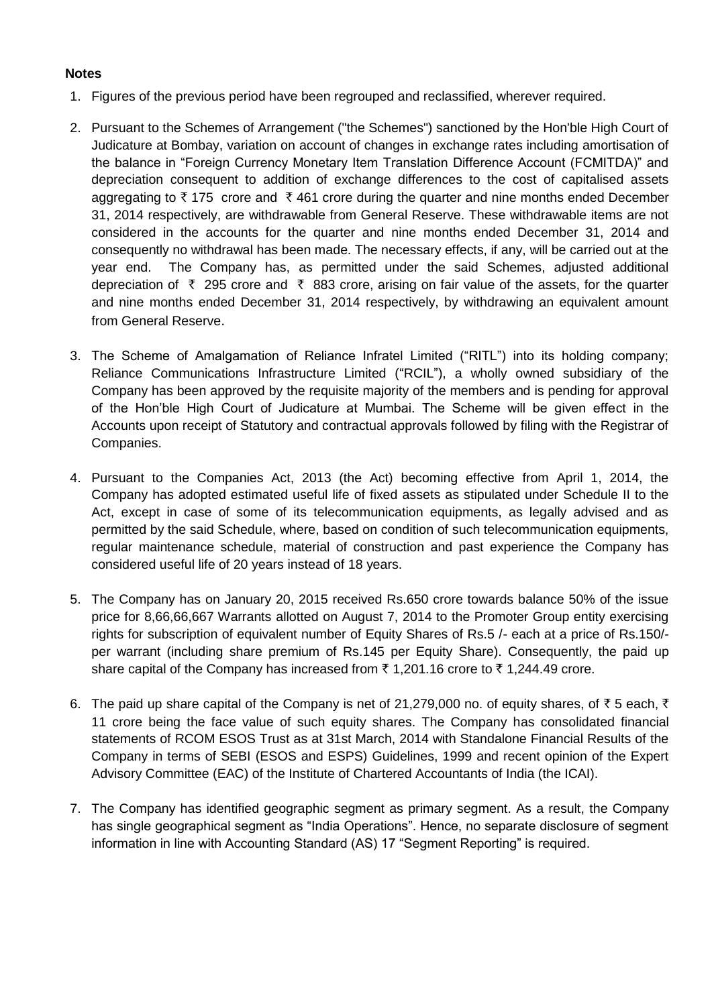## **Notes**

- 1. Figures of the previous period have been regrouped and reclassified, wherever required.
- 2. Pursuant to the Schemes of Arrangement ("the Schemes") sanctioned by the Hon'ble High Court of Judicature at Bombay, variation on account of changes in exchange rates including amortisation of the balance in "Foreign Currency Monetary Item Translation Difference Account (FCMITDA)" and depreciation consequent to addition of exchange differences to the cost of capitalised assets aggregating to  $\bar{\tau}$  175 crore and  $\bar{\tau}$  461 crore during the quarter and nine months ended December 31, 2014 respectively, are withdrawable from General Reserve. These withdrawable items are not considered in the accounts for the quarter and nine months ended December 31, 2014 and consequently no withdrawal has been made. The necessary effects, if any, will be carried out at the year end. The Company has, as permitted under the said Schemes, adjusted additional depreciation of  $\bar{\tau}$  295 crore and  $\bar{\tau}$  883 crore, arising on fair value of the assets, for the quarter and nine months ended December 31, 2014 respectively, by withdrawing an equivalent amount from General Reserve.
- 3. The Scheme of Amalgamation of Reliance Infratel Limited ("RITL") into its holding company; Reliance Communications Infrastructure Limited ("RCIL"), a wholly owned subsidiary of the Company has been approved by the requisite majority of the members and is pending for approval of the Hon'ble High Court of Judicature at Mumbai. The Scheme will be given effect in the Accounts upon receipt of Statutory and contractual approvals followed by filing with the Registrar of Companies.
- 4. Pursuant to the Companies Act, 2013 (the Act) becoming effective from April 1, 2014, the Company has adopted estimated useful life of fixed assets as stipulated under Schedule II to the Act, except in case of some of its telecommunication equipments, as legally advised and as permitted by the said Schedule, where, based on condition of such telecommunication equipments, regular maintenance schedule, material of construction and past experience the Company has considered useful life of 20 years instead of 18 years.
- 5. The Company has on January 20, 2015 received Rs.650 crore towards balance 50% of the issue price for 8,66,66,667 Warrants allotted on August 7, 2014 to the Promoter Group entity exercising rights for subscription of equivalent number of Equity Shares of Rs.5 /- each at a price of Rs.150/ per warrant (including share premium of Rs.145 per Equity Share). Consequently, the paid up share capital of the Company has increased from  $\bar{\tau}$  1,201.16 crore to  $\bar{\tau}$  1,244.49 crore.
- 6. The paid up share capital of the Company is net of 21,279,000 no. of equity shares, of  $\bar{\tau}$  5 each,  $\bar{\tau}$ 11 crore being the face value of such equity shares. The Company has consolidated financial statements of RCOM ESOS Trust as at 31st March, 2014 with Standalone Financial Results of the Company in terms of SEBI (ESOS and ESPS) Guidelines, 1999 and recent opinion of the Expert Advisory Committee (EAC) of the Institute of Chartered Accountants of India (the ICAI).
- 7. The Company has identified geographic segment as primary segment. As a result, the Company has single geographical segment as "India Operations". Hence, no separate disclosure of segment information in line with Accounting Standard (AS) 17 "Segment Reporting" is required.